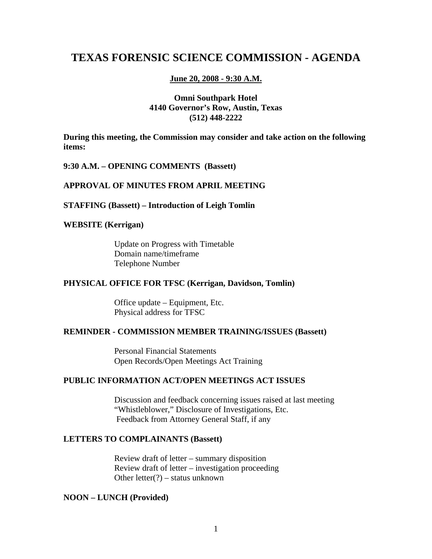# **TEXAS FORENSIC SCIENCE COMMISSION - AGENDA**

#### **June 20, 2008 - 9:30 A.M.**

## **Omni Southpark Hotel 4140 Governor's Row, Austin, Texas (512) 448-2222**

**During this meeting, the Commission may consider and take action on the following items:** 

#### **9:30 A.M. – OPENING COMMENTS (Bassett)**

## **APPROVAL OF MINUTES FROM APRIL MEETING**

#### **STAFFING (Bassett) – Introduction of Leigh Tomlin**

## **WEBSITE (Kerrigan)**

Update on Progress with Timetable Domain name/timeframe Telephone Number

#### **PHYSICAL OFFICE FOR TFSC (Kerrigan, Davidson, Tomlin)**

Office update – Equipment, Etc. Physical address for TFSC

## **REMINDER - COMMISSION MEMBER TRAINING/ISSUES (Bassett)**

Personal Financial Statements Open Records/Open Meetings Act Training

## **PUBLIC INFORMATION ACT/OPEN MEETINGS ACT ISSUES**

Discussion and feedback concerning issues raised at last meeting "Whistleblower," Disclosure of Investigations, Etc. Feedback from Attorney General Staff, if any

## **LETTERS TO COMPLAINANTS (Bassett)**

Review draft of letter – summary disposition Review draft of letter – investigation proceeding Other letter(?) – status unknown

#### **NOON – LUNCH (Provided)**